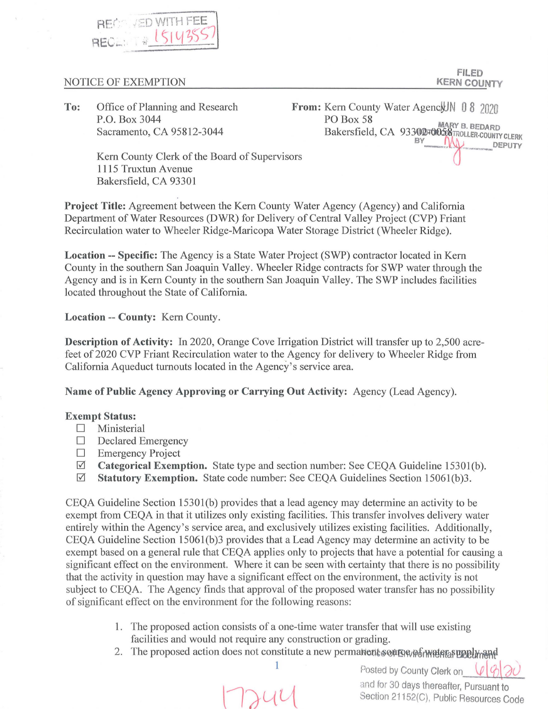

## NOTICE OF EXEMPTION

**FILED KERN COUNTY** 

**To:** Office of Planning and Research P.O. Box 3044 Sacramento, CA 95812-3044

From: Kern County Water Agenck IN 0 8 2020 PO Box 58 **PO Box 58**<br>Bakersfield, CA 93302 FOO58 TROLLER-COUNTY CLERK BY DEPUTY

Kern County Clerk of the Board of Supervisors 1115 Truxtun Avenue Bakersfield, CA 93301

**Project Title:** Agreement between the Kern County Water Agency (Agency) and California Department of Water Resources (DWR) for Delivery of Central Valley Project (CVP) Friant Recirculation water to Wheeler Ridge-Maricopa Water Storage District (Wheeler Ridge).

**Location -- Specific:** The Agency is a State Water Project (SWP) contractor located in Kern County in the southern San Joaquin Valley. Wheeler Ridge contracts for SWP water through the Agency and is in Kern County in the southern San Joaquin Valley. The SWP includes facilities located throughout the State of California.

**Location -- County:** Kern County.

**Description of Activity:** In 2020, Orange Cove Irrigation District will transfer up to 2,500 acrefeet of 2020 CVP Friant Recirculation water to the Agency for delivery to Wheeler Ridge from California Aqueduct turnouts located in the Agency's service area.

**Name of Public Agency Approving or Carrying Out Activity:** Agency (Lead Agency).

## **Exempt Status:**

- $\square$  Ministerial
- □ Declared Emergency
- $\square$  Emergency Project<br>  $\square$  Categorical Exemi
- **Categorical Exemption.** State type and section number: See CEQA Guideline 15301(b).
- 0 **Statutory Exemption.** State code number: See CEQA Guidelines Section 15061(b)3.

CEQA Guideline Section 15301(b) provides that a lead agency may determine an activity to be exempt from CEQA in that it utilizes only existing facilities. This transfer involves delivery water entirely within the Agency's service area, and exclusively utilizes existing facilities. Additionally, CEQA Guideline Section 15061(b)3 provides that a Lead Agency may determine an activity to be exempt based on a general rule that CEQA applies only to projects that have a potential for causing a significant effect on the environment. Where it can be seen with certainty that there is no possibility that the activity in question may have a significant effect on the environment, the activity is not subject to CEQA. The Agency finds that approval of the proposed water transfer has no possibility of significant effect on the environment for the following reasons:

- 1. The proposed action consists of a one-time water transfer that will use existing facilities and would not require any construction or grading.
- 2. The proposed action does not constitute a new permanents conformations upply and

 $\left\lfloor \frac{1}{2} \right\rfloor$  $\overline{\phantom{a}}$ 

1 Posted by County Clerk on  $\mathcal{P}$  8 and for 30 days thereafter, Pursuant to **and the Section 21152(C), Public Resources Code**